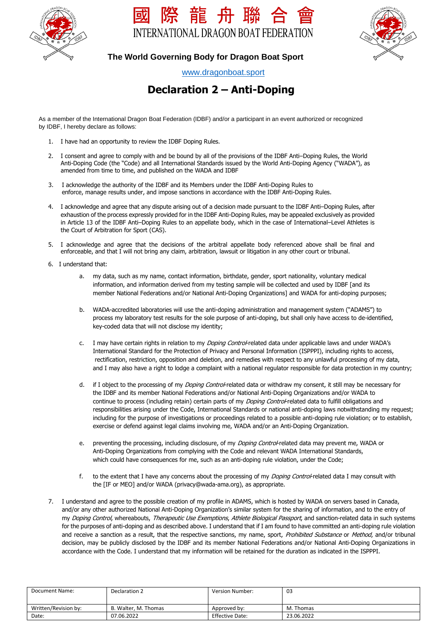





### **The World Governing Body for Dragon Boat Sport**

[www.dragonboat.sport](about:blank)

# **Declaration 2 – Anti-Doping**

 As a member of the International Dragon Boat Federation (IDBF) and/or a participant in an event authorized or recognized by IDBF, I hereby declare as follows:

- 1. I have had an opportunity to review the IDBF Doping Rules.
- 2. I consent and agree to comply with and be bound by all of the provisions of the IDBF Anti–Doping Rules, the World Anti-Doping Code (the "Code) and all International Standards issued by the World Anti-Doping Agency ("WADA"), as amended from time to time, and published on the WADA and IDBF
- 3. I acknowledge the authority of the IDBF and its Members under the IDBF Anti-Doping Rules to enforce, manage results under, and impose sanctions in accordance with the IDBF Anti-Doping Rules.
- 4. I acknowledge and agree that any dispute arising out of a decision made pursuant to the IDBF Anti–Doping Rules, after exhaustion of the process expressly provided for in the IDBF Anti-Doping Rules, may be appealed exclusively as provided in Article 13 of the IDBF Anti–Doping Rules to an appellate body, which in the case of International–Level Athletes is the Court of Arbitration for Sport (CAS).
- 5. I acknowledge and agree that the decisions of the arbitral appellate body referenced above shall be final and enforceable, and that I will not bring any claim, arbitration, lawsuit or litigation in any other court or tribunal.
- 6. I understand that:
	- a. my data, such as my name, contact information, birthdate, gender, sport nationality, voluntary medical information, and information derived from my testing sample will be collected and used by IDBF [and its member National Federations and/or National Anti-Doping Organizations] and WADA for anti-doping purposes;
	- b. WADA-accredited laboratories will use the anti-doping administration and management system ("ADAMS") to process my laboratory test results for the sole purpose of anti-doping, but shall only have access to de-identified, key-coded data that will not disclose my identity;
	- c. I may have certain rights in relation to my *Doping Control*-related data under applicable laws and under WADA's International Standard for the Protection of Privacy and Personal Information (ISPPPI), including rights to access, rectification, restriction, opposition and deletion, and remedies with respect to any unlawful processing of my data, and I may also have a right to lodge a complaint with a national regulator responsible for data protection in my country;
	- d. if I object to the processing of my Doping Control-related data or withdraw my consent, it still may be necessary for the IDBF and its member National Federations and/or National Anti-Doping Organizations and/or WADA to continue to process (including retain) certain parts of my *Doping Control-*related data to fulfill obligations and responsibilities arising under the Code, International Standards or national anti-doping laws notwithstanding my request; including for the purpose of investigations or proceedings related to a possible anti-doping rule violation; or to establish, exercise or defend against legal claims involving me, WADA and/or an Anti-Doping Organization.
	- e. preventing the processing, including disclosure, of my Doping Control-related data may prevent me, WADA or Anti-Doping Organizations from complying with the Code and relevant WADA International Standards, which could have consequences for me, such as an anti-doping rule violation, under the Code;
	- f. to the extent that I have any concerns about the processing of my *Doping Control*-related data I may consult with the [IF or MEO] and/or WADA (privacy@wada-ama.org), as appropriate.
- 7. I understand and agree to the possible creation of my profile in ADAMS, which is hosted by WADA on servers based in Canada, and/or any other authorized National Anti-Doping Organization's similar system for the sharing of information, and to the entry of my Doping Control, whereabouts, Therapeutic Use Exemptions, Athlete Biological Passport, and sanction-related data in such systems for the purposes of anti-doping and as described above. I understand that if I am found to have committed an anti-doping rule violation and receive a sanction as a result, that the respective sanctions, my name, sport, Prohibited Substance or Method, and/or tribunal decision, may be publicly disclosed by the IDBF and its member National Federations and/or National Anti-Doping Organizations in accordance with the Code. I understand that my information will be retained for the duration as indicated in the ISPPPI.

| Document Name:       | Declaration 2        | Version Number: | 03         |
|----------------------|----------------------|-----------------|------------|
|                      |                      |                 |            |
| Written/Revision by: | B. Walter, M. Thomas | Approved by:    | M. Thomas  |
| Date:                | 07.06.2022           | Effective Date: | 23.06.2022 |